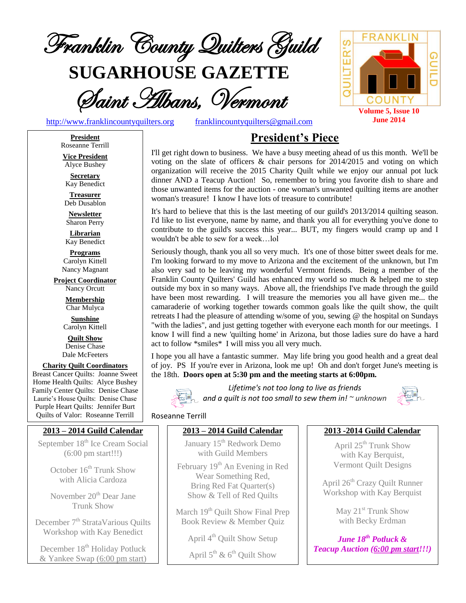

**SUGARHOUSE GAZETTE**

Saint Albans, Vermont

[http://www.franklincountyquilters.org](http://www.franklincountyquilters.org/) [franklincountyquilters@gmail.com](mailto:franklincountyquilters@gmail.com)

QUILTER'S GUIL COUNTY **Volume 5, Issue 10 June 2014**

# **President's Piece**

I'll get right down to business. We have a busy meeting ahead of us this month. We'll be voting on the slate of officers & chair persons for 2014/2015 and voting on which organization will receive the 2015 Charity Quilt while we enjoy our annual pot luck dinner AND a Teacup Auction! So, remember to bring you favorite dish to share and those unwanted items for the auction - one woman's unwanted quilting items are another woman's treasure! I know I have lots of treasure to contribute!

It's hard to believe that this is the last meeting of our guild's 2013/2014 quilting season. I'd like to list everyone, name by name, and thank you all for everything you've done to contribute to the guild's success this year... BUT, my fingers would cramp up and I wouldn't be able to sew for a week…lol

Seriously though, thank you all so very much. It's one of those bitter sweet deals for me. I'm looking forward to my move to Arizona and the excitement of the unknown, but I'm also very sad to be leaving my wonderful Vermont friends. Being a member of the Franklin County Quilters' Guild has enhanced my world so much & helped me to step outside my box in so many ways. Above all, the friendships I've made through the guild have been most rewarding. I will treasure the memories you all have given me... the camaraderie of working together towards common goals like the quilt show, the quilt retreats I had the pleasure of attending w/some of you, sewing @ the hospital on Sundays "with the ladies", and just getting together with everyone each month for our meetings. I know I will find a new 'quilting home' in Arizona, but those ladies sure do have a hard act to follow \*smiles\* I will miss you all very much.

I hope you all have a fantastic summer. May life bring you good health and a great deal of joy. PS If you're ever in Arizona, look me up! Oh and don't forget June's meeting is the 18th. **Doors open at 5:30 pm and the meeting starts at 6:00pm.**



*Lifetime's not too long to live as friends and a quilt is not too small to sew them in! ~ unknown*



#### Roseanne Terrill

#### **2013 – 2014 Guild Calendar**

January 15<sup>th</sup> Redwork Demo with Guild Members

February 19<sup>th</sup> An Evening in Red Wear Something Red, Bring Red Fat Quarter(s) Show & Tell of Red Quilts

March 19<sup>th</sup> Quilt Show Final Prep Book Review & Member Quiz

April 4<sup>th</sup> Quilt Show Setup

April  $5^{\text{th}}$  &  $6^{\text{th}}$  Quilt Show

#### **2013 -2014 Guild Calendar**

April 25<sup>th</sup> Trunk Show with Kay Berquist, Vermont Quilt Designs

April 26<sup>th</sup> Crazy Quilt Runner Workshop with Kay Berquist

> May 21<sup>st</sup> Trunk Show with Becky Erdman

*June 18 th Potluck & Teacup Auction (6:00 pm start!!!)*

**President** Roseanne Terrill **Vice President**

Alyce Bushey

**Secretary** Kay Benedict

**Treasurer** Deb Dusablon

**Newsletter** Sharon Perry

**Librarian** Kay Benedict

**Programs** Carolyn Kittell Nancy Magnant

**Project Coordinator** Nancy Orcutt

> **Membership** Char Mulyca

**Sunshine** Carolyn Kittell

**Quilt Show** Denise Chase Dale McFeeters

**Charity Quilt Coordinators** Breast Cancer Quilts: Joanne Sweet Home Health Quilts: Alyce Bushey Family Center Quilts: Denise Chase Laurie's House Quilts: Denise Chase Purple Heart Quilts: Jennifer Burt Quilts of Valor: Roseanne Terrill

## **2013 – 2014 Guild Calendar**

September 18<sup>th</sup> Ice Cream Social (6:00 pm start!!!)

> October  $16<sup>th</sup>$  Trunk Show with Alicia Cardoza

> November 20<sup>th</sup> Dear Jane Trunk Show

December 7<sup>th</sup> StrataVarious Quilts Workshop with Kay Benedict

December 18<sup>th</sup> Holiday Potluck & Yankee Swap (6:00 pm start)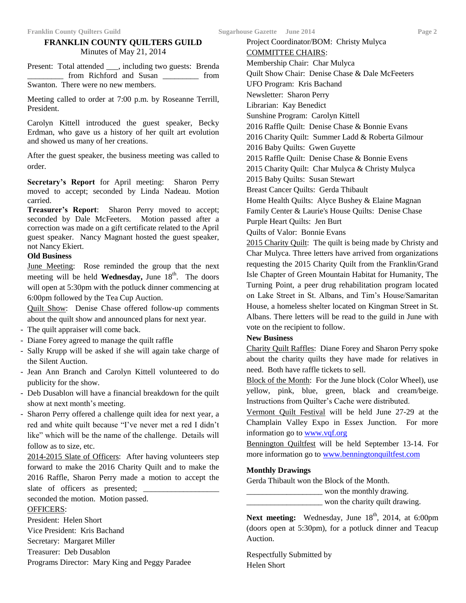## **FRANKLIN COUNTY QUILTERS GUILD** Minutes of May 21, 2014

Present: Total attended \_\_\_, including two guests: Brenda from Richford and Susan \_\_\_\_\_\_\_\_ from Swanton. There were no new members.

Meeting called to order at 7:00 p.m. by Roseanne Terrill, President.

Carolyn Kittell introduced the guest speaker, Becky Erdman, who gave us a history of her quilt art evolution and showed us many of her creations.

After the guest speaker, the business meeting was called to order.

**Secretary's Report** for April meeting: Sharon Perry moved to accept; seconded by Linda Nadeau. Motion carried.

**Treasurer's Report**: Sharon Perry moved to accept; seconded by Dale McFeeters. Motion passed after a correction was made on a gift certificate related to the April guest speaker. Nancy Magnant hosted the guest speaker, not Nancy Ekiert.

#### **Old Business**

June Meeting: Rose reminded the group that the next meeting will be held **Wednesday**, June 18<sup>th</sup>. The doors will open at 5:30pm with the potluck dinner commencing at 6:00pm followed by the Tea Cup Auction.

Quilt Show: Denise Chase offered follow-up comments about the quilt show and announced plans for next year.

- The quilt appraiser will come back.
- Diane Forey agreed to manage the quilt raffle
- Sally Krupp will be asked if she will again take charge of the Silent Auction.
- Jean Ann Branch and Carolyn Kittell volunteered to do publicity for the show.
- Deb Dusablon will have a financial breakdown for the quilt show at next month's meeting.
- Sharon Perry offered a challenge quilt idea for next year, a red and white quilt because "I've never met a red I didn't like" which will be the name of the challenge. Details will follow as to size, etc.

2014-2015 Slate of Officers: After having volunteers step forward to make the 2016 Charity Quilt and to make the 2016 Raffle, Sharon Perry made a motion to accept the slate of officers as presented;

seconded the motion. Motion passed.

#### OFFICERS:

President: Helen Short Vice President: Kris Bachand Secretary: Margaret Miller Treasurer: Deb Dusablon Programs Director: Mary King and Peggy Paradee Project Coordinator/BOM: Christy Mulyca COMMITTEE CHAIRS: Membership Chair: Char Mulyca Quilt Show Chair: Denise Chase & Dale McFeeters UFO Program: Kris Bachand Newsletter: Sharon Perry Librarian: Kay Benedict Sunshine Program: Carolyn Kittell 2016 Raffle Quilt: Denise Chase & Bonnie Evans 2016 Charity Quilt: Summer Ladd & Roberta Gilmour 2016 Baby Quilts: Gwen Guyette 2015 Raffle Quilt: Denise Chase & Bonnie Evens 2015 Charity Quilt: Char Mulyca & Christy Mulyca 2015 Baby Quilts: Susan Stewart Breast Cancer Quilts: Gerda Thibault Home Health Quilts: Alyce Bushey & Elaine Magnan Family Center & Laurie's House Quilts: Denise Chase Purple Heart Quilts: Jen Burt Quilts of Valor: Bonnie Evans 2015 Charity Quilt: The quilt is being made by Christy and Char Mulyca. Three letters have arrived from organizations requesting the 2015 Charity Quilt from the Franklin/Grand Isle Chapter of Green Mountain Habitat for Humanity, The Turning Point, a peer drug rehabilitation program located

on Lake Street in St. Albans, and Tim's House/Samaritan House, a homeless shelter located on Kingman Street in St. Albans. There letters will be read to the guild in June with vote on the recipient to follow.

#### **New Business**

Charity Quilt Raffles: Diane Forey and Sharon Perry spoke about the charity quilts they have made for relatives in need. Both have raffle tickets to sell.

Block of the Month: For the June block (Color Wheel), use yellow, pink, blue, green, black and cream/beige. Instructions from Quilter's Cache were distributed.

Vermont Quilt Festival will be held June 27-29 at the Champlain Valley Expo in Essex Junction. For more information go to [www.vqf.org](http://www.vqf.org/)

Bennington Quiltfest will be held September 13-14. For more information go to [www.benningtonquiltfest.com](http://www.benningtonquiltfest.com/)

#### **Monthly Drawings**

Gerda Thibault won the Block of the Month.

won the monthly drawing.

\_\_\_\_\_\_\_\_\_\_\_\_\_\_\_\_\_\_\_ won the charity quilt drawing.

Next meeting: Wednesday, June 18<sup>th</sup>, 2014, at 6:00pm (doors open at 5:30pm), for a potluck dinner and Teacup Auction.

Respectfully Submitted by Helen Short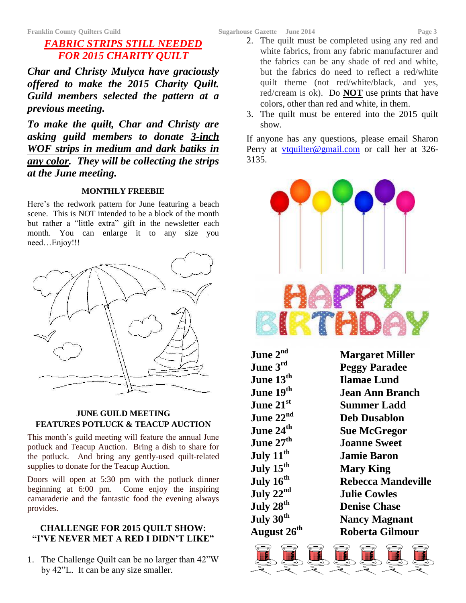# *FABRIC STRIPS STILL NEEDED FOR 2015 CHARITY QUILT*

*Char and Christy Mulyca have graciously offered to make the 2015 Charity Quilt. Guild members selected the pattern at a previous meeting.*

*To make the quilt, Char and Christy are asking guild members to donate 3-inch WOF strips in medium and dark batiks in any color. They will be collecting the strips at the June meeting.*

#### **MONTHLY FREEBIE**

Here's the redwork pattern for June featuring a beach scene. This is NOT intended to be a block of the month but rather a "little extra" gift in the newsletter each month. You can enlarge it to any size you need…Enjoy!!!



### **JUNE GUILD MEETING FEATURES POTLUCK & TEACUP AUCTION**

This month's guild meeting will feature the annual June potluck and Teacup Auction. Bring a dish to share for the potluck. And bring any gently-used quilt-related supplies to donate for the Teacup Auction.

Doors will open at 5:30 pm with the potluck dinner beginning at 6:00 pm. Come enjoy the inspiring camaraderie and the fantastic food the evening always provides.

## **CHALLENGE FOR 2015 QUILT SHOW: "I'VE NEVER MET A RED I DIDN'T LIKE"**

1. The Challenge Quilt can be no larger than 42"W by 42"L. It can be any size smaller.

- 2. The quilt must be completed using any red and white fabrics, from any fabric manufacturer and the fabrics can be any shade of red and white, but the fabrics do need to reflect a red/white quilt theme (not red/white/black, and yes, red/cream is ok). Do **NOT** use prints that have colors, other than red and white, in them.
- 3. The quilt must be entered into the 2015 quilt show.

If anyone has any questions, please email Sharon Perry at [vtquilter@gmail.com](mailto:vtquilter@gmail.com) or call her at 326-3135.



| June $2^{\rm nd}$       | <b>Margaret Miller</b>    |
|-------------------------|---------------------------|
| June $3^{\rm rd}$       | <b>Peggy Paradee</b>      |
| June $13^{\rm th}$      | <b>Ilamae Lund</b>        |
| June 19 <sup>th</sup>   | Jean Ann Branch           |
| June 21 $^{\rm st}$     | <b>Summer Ladd</b>        |
| June 22 $^{\rm{nd}}$    | <b>Deb Dusablon</b>       |
| June 24 $^{\rm th}$     | <b>Sue McGregor</b>       |
| June 2 $7^{\rm th}$     | <b>Joanne Sweet</b>       |
| July $11^{\rm th}$      | <b>Jamie Baron</b>        |
| July 15 $^{\rm th}$     | <b>Mary King</b>          |
| July $16^{\rm th}$      | <b>Rebecca Mandeville</b> |
| July 22 $^{\rm nd}$     | <b>Julie Cowles</b>       |
| July 28 $^{\rm th}$     | <b>Denise Chase</b>       |
| July $30^{\rm th}$      | <b>Nancy Magnant</b>      |
| August 26 <sup>th</sup> | <b>Roberta Gilmour</b>    |
|                         |                           |

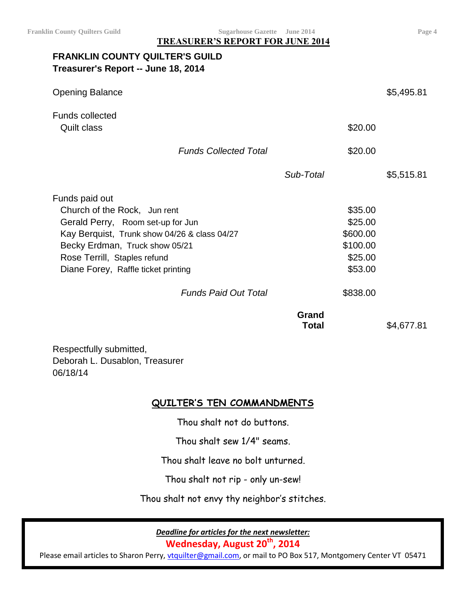**Franklin County Quilters Guild Sugarhouse Gazette June 2014 Page 4**

**TREASURER'S REPORT FOR JUNE 2014**

## **FRANKLIN COUNTY QUILTER'S GUILD Treasurer's Report -- June 18, 2014**

| <b>Opening Balance</b>                                                                                                                                                                                                                       |                              |                                                                  | \$5,495.81 |
|----------------------------------------------------------------------------------------------------------------------------------------------------------------------------------------------------------------------------------------------|------------------------------|------------------------------------------------------------------|------------|
| <b>Funds collected</b><br>Quilt class                                                                                                                                                                                                        |                              | \$20.00                                                          |            |
| <b>Funds Collected Total</b>                                                                                                                                                                                                                 |                              | \$20.00                                                          |            |
|                                                                                                                                                                                                                                              | Sub-Total                    |                                                                  | \$5,515.81 |
| Funds paid out<br>Church of the Rock, Jun rent<br>Gerald Perry, Room set-up for Jun<br>Kay Berquist, Trunk show 04/26 & class 04/27<br>Becky Erdman, Truck show 05/21<br>Rose Terrill, Staples refund<br>Diane Forey, Raffle ticket printing |                              | \$35.00<br>\$25.00<br>\$600.00<br>\$100.00<br>\$25.00<br>\$53.00 |            |
| <b>Funds Paid Out Total</b>                                                                                                                                                                                                                  |                              | \$838.00                                                         |            |
|                                                                                                                                                                                                                                              | <b>Grand</b><br><b>Total</b> |                                                                  | \$4,677.81 |
| Respectfully submitted,<br>Deborah L. Dusablon, Treasurer<br>06/18/14                                                                                                                                                                        |                              |                                                                  |            |

## **QUILTER'S TEN COMMANDMENTS**

Thou shalt not do buttons.

Thou shalt sew 1/4" seams.

Thou shalt leave no bolt unturned.

Thou shalt not rip - only un-sew!

Thou shalt not envy thy neighbor's stitches.

*Deadline for articles for the next newsletter:*

**Wednesday, August 20th, 2014**

Please email articles to Sharon Perry, [vtquilter@gmail.com,](mailto:vtquilter@gmail.com) or mail to PO Box 517, Montgomery Center VT 05471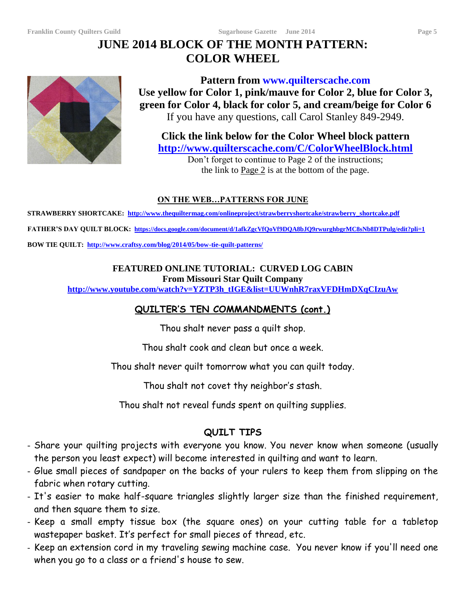# **JUNE 2014 BLOCK OF THE MONTH PATTERN: COLOR WHEEL**



**Pattern from www.quilterscache.com Use yellow for Color 1, pink/mauve for Color 2, blue for Color 3, green for Color 4, black for color 5, and cream/beige for Color 6** If you have any questions, call Carol Stanley 849-2949.

**Click the link below for the Color Wheel block pattern <http://www.quilterscache.com/C/ColorWheelBlock.html>**

Don't forget to continue to Page 2 of the instructions; the link to  $Page 2$  is at the bottom of the page.</u>

## **ON THE WEB…PATTERNS FOR JUNE**

**STRAWBERRY SHORTCAKE: [http://www.thequiltermag.com/onlineproject/strawberryshortcake/strawberry\\_shortcake.pdf](http://www.thequiltermag.com/onlineproject/strawberryshortcake/strawberry_shortcake.pdf) FATHER'S DAY QUILT BLOCK:<https://docs.google.com/document/d/1afkZgcVfQoVf9DQA8bJQ9rwurghbgrMC8sNb8DTPulg/edit?pli=1> BOW TIE QUILT:<http://www.craftsy.com/blog/2014/05/bow-tie-quilt-patterns/>**

### **FEATURED ONLINE TUTORIAL: CURVED LOG CABIN From Missouri Star Quilt Company**

**[http://www.youtube.com/watch?v=YZTP3h\\_tIGE&list=UUWnhR7raxVFDHmDXqCIzuAw](http://www.youtube.com/watch?v=YZTP3h_tIGE&list=UUWnhR7raxVFDHmDXqCIzuAw)**

## **QUILTER'S TEN COMMANDMENTS (cont.)**

Thou shalt never pass a quilt shop.

Thou shalt cook and clean but once a week.

Thou shalt never quilt tomorrow what you can quilt today.

Thou shalt not covet thy neighbor's stash.

Thou shalt not reveal funds spent on quilting supplies.

## **QUILT TIPS**

- Share your quilting projects with everyone you know. You never know when someone (usually the person you least expect) will become interested in quilting and want to learn.
- Glue small pieces of sandpaper on the backs of your rulers to keep them from slipping on the fabric when rotary cutting.
- It's easier to make half-square triangles slightly larger size than the finished requirement, and then square them to size.
- Keep a small empty tissue box (the square ones) on your cutting table for a tabletop wastepaper basket. It's perfect for small pieces of thread, etc.
- Keep an extension cord in my traveling sewing machine case. You never know if you'll need one when you go to a class or a friend's house to sew.